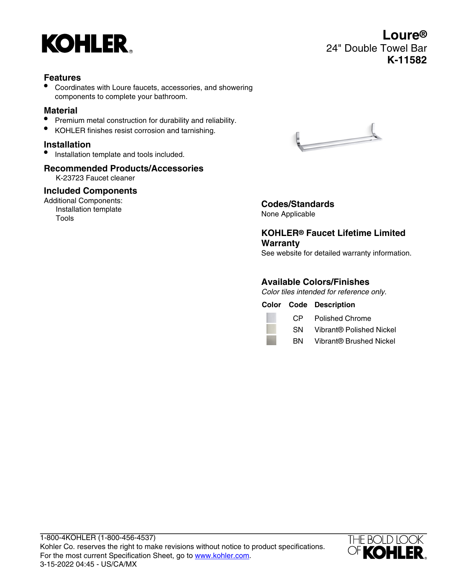

## **Features**

• Coordinates with Loure faucets, accessories, and showering components to complete your bathroom.

#### **Material**

- Premium metal construction for durability and reliability.
- KOHLER finishes resist corrosion and tarnishing.

### **Installation**

• Installation template and tools included.

# **Recommended Products/Accessories**

K-23723 Faucet cleaner

### **Included Components**

Additional Components: Installation template Tools



**Codes/Standards** None Applicable

# **KOHLER® Faucet Lifetime Limited Warranty**

See website for detailed warranty information.

### **Available Colors/Finishes**

Color tiles intended for reference only.

**Color Code Description**

CP Polished Chrome

SN Vibrant® Polished Nickel

BN Vibrant® Brushed Nickel



**Loure®** 24" Double Towel Bar **K-11582**